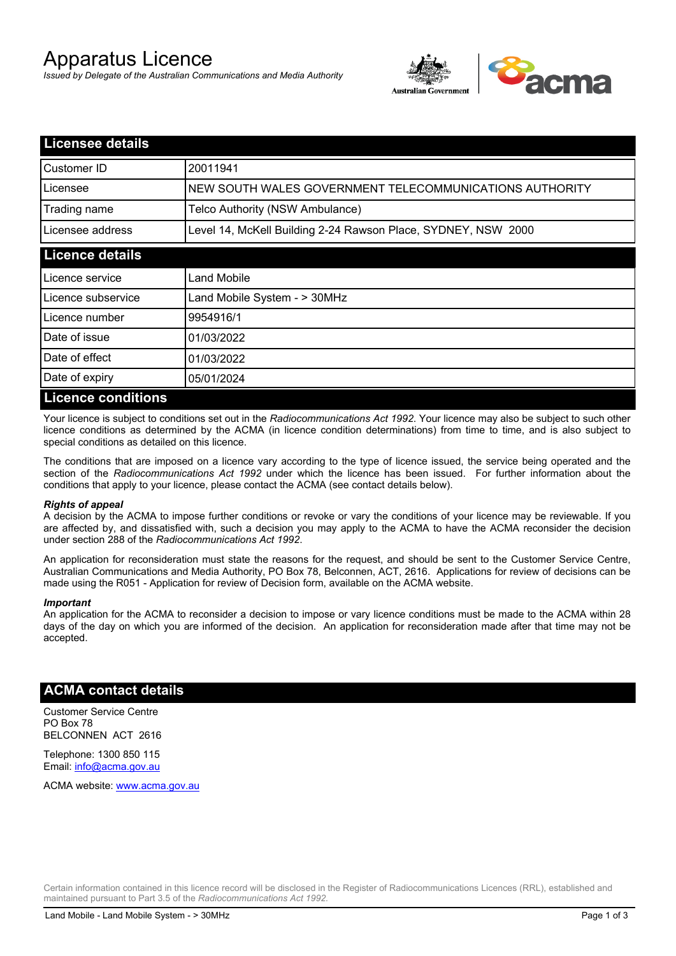# Apparatus Licence

*Issued by Delegate of the Australian Communications and Media Authority*



| <b>Licensee details</b>   |                                                               |  |  |
|---------------------------|---------------------------------------------------------------|--|--|
| Customer ID               | 20011941                                                      |  |  |
| Licensee                  | NEW SOUTH WALES GOVERNMENT TELECOMMUNICATIONS AUTHORITY       |  |  |
| Trading name              | Telco Authority (NSW Ambulance)                               |  |  |
| Licensee address          | Level 14, McKell Building 2-24 Rawson Place, SYDNEY, NSW 2000 |  |  |
| <b>Licence details</b>    |                                                               |  |  |
| Licence service           | Land Mobile                                                   |  |  |
| Licence subservice        | Land Mobile System - > 30MHz                                  |  |  |
| Licence number            | 9954916/1                                                     |  |  |
| Date of issue             | 01/03/2022                                                    |  |  |
| Date of effect            | 01/03/2022                                                    |  |  |
| Date of expiry            | 05/01/2024                                                    |  |  |
| <b>Licence conditions</b> |                                                               |  |  |

Your licence is subject to conditions set out in the *Radiocommunications Act 1992*. Your licence may also be subject to such other licence conditions as determined by the ACMA (in licence condition determinations) from time to time, and is also subject to special conditions as detailed on this licence.

The conditions that are imposed on a licence vary according to the type of licence issued, the service being operated and the section of the *Radiocommunications Act 1992* under which the licence has been issued. For further information about the conditions that apply to your licence, please contact the ACMA (see contact details below).

#### *Rights of appeal*

A decision by the ACMA to impose further conditions or revoke or vary the conditions of your licence may be reviewable. If you are affected by, and dissatisfied with, such a decision you may apply to the ACMA to have the ACMA reconsider the decision under section 288 of the *Radiocommunications Act 1992*.

An application for reconsideration must state the reasons for the request, and should be sent to the Customer Service Centre, Australian Communications and Media Authority, PO Box 78, Belconnen, ACT, 2616. Applications for review of decisions can be made using the R051 - Application for review of Decision form, available on the ACMA website.

#### *Important*

An application for the ACMA to reconsider a decision to impose or vary licence conditions must be made to the ACMA within 28 days of the day on which you are informed of the decision. An application for reconsideration made after that time may not be accepted.

### **ACMA contact details**

Customer Service Centre PO Box 78 BELCONNEN ACT 2616

Telephone: 1300 850 115 Email: info@acma.gov.au

ACMA website: www.acma.gov.au

Certain information contained in this licence record will be disclosed in the Register of Radiocommunications Licences (RRL), established and maintained pursuant to Part 3.5 of the *Radiocommunications Act 1992.*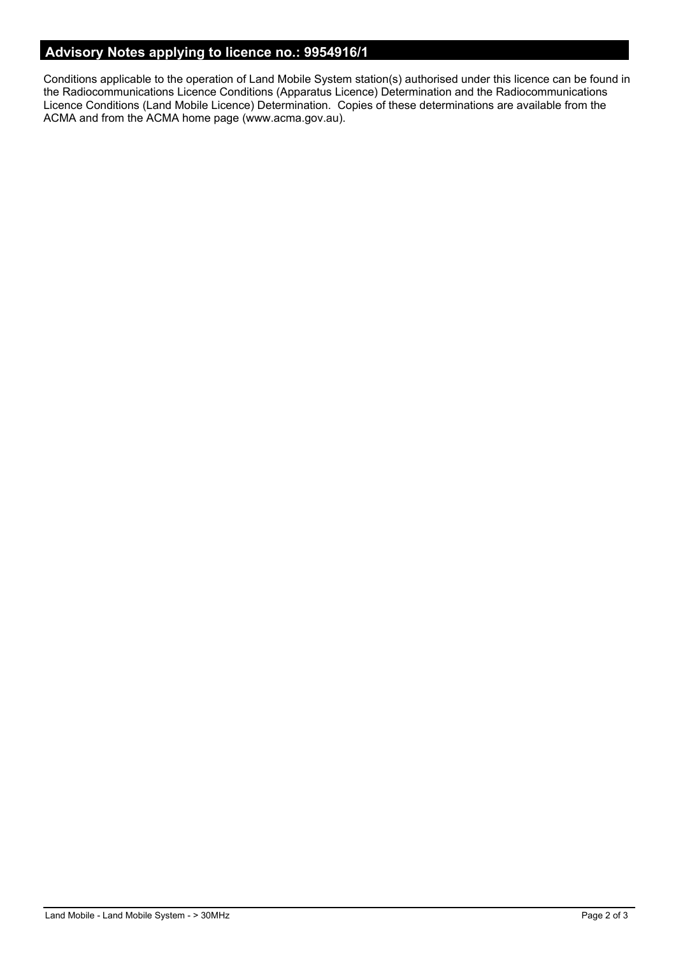### **Advisory Notes applying to licence no.: 9954916/1**

Conditions applicable to the operation of Land Mobile System station(s) authorised under this licence can be found in the Radiocommunications Licence Conditions (Apparatus Licence) Determination and the Radiocommunications Licence Conditions (Land Mobile Licence) Determination. Copies of these determinations are available from the ACMA and from the ACMA home page (www.acma.gov.au).